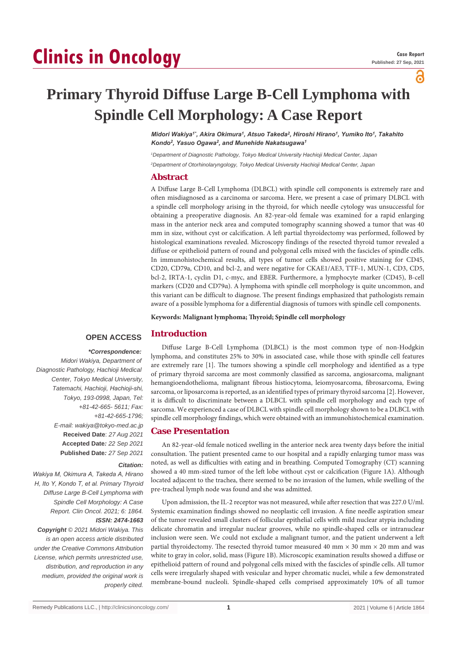# **Clinics in Oncology**

പ്പ

## **Primary Thyroid Diffuse Large B-Cell Lymphoma with Spindle Cell Morphology: A Case Report**

*Midori Wakiya1\*, Akira Okimura<sup>1</sup> , Atsuo Takeda<sup>2</sup> , Hiroshi Hirano<sup>1</sup> , Yumiko Ito<sup>1</sup> , Takahito Kondo<sup>2</sup> , Yasuo Ogawa<sup>2</sup> , and Munehide Nakatsugawa<sup>1</sup>*

*<sup>1</sup>Department of Diagnostic Pathology, Tokyo Medical University Hachioji Medical Center, Japan <sup>2</sup>Department of Otorhinolaryngology, Tokyo Medical University Hachioji Medical Center, Japan*

#### **Abstract**

A Diffuse Large B-Cell Lymphoma (DLBCL) with spindle cell components is extremely rare and often misdiagnosed as a carcinoma or sarcoma. Here, we present a case of primary DLBCL with a spindle cell morphology arising in the thyroid, for which needle cytology was unsuccessful for obtaining a preoperative diagnosis. An 82-year-old female was examined for a rapid enlarging mass in the anterior neck area and computed tomography scanning showed a tumor that was 40 mm in size, without cyst or calcification. A left partial thyroidectomy was performed, followed by histological examinations revealed. Microscopy findings of the resected thyroid tumor revealed a diffuse or epithelioid pattern of round and polygonal cells mixed with the fascicles of spindle cells. In immunohistochemical results, all types of tumor cells showed positive staining for CD45, CD20, CD79a, CD10, and bcl-2, and were negative for CKAE1/AE3, TTF-1, MUN-1, CD3, CD5, bcl-2, IRTA-1, cyclin D1, c-myc, and EBER. Furthermore, a lymphocyte marker (CD45), B-cell markers (CD20 and CD79α). A lymphoma with spindle cell morphology is quite uncommon, and this variant can be difficult to diagnose. The present findings emphasized that pathologists remain aware of a possible lymphoma for a differential diagnosis of tumors with spindle cell components.

**Keywords: Malignant lymphoma; Thyroid; Spindle cell morphology**

#### **OPEN ACCESS Introduction**

#### *\*Correspondence:*

*Midori Wakiya, Department of Diagnostic Pathology, Hachioji Medical Center, Tokyo Medical University, Tatemachi, Hachioji, Hachioji-shi, Tokyo, 193-0998, Japan, Tel: +81-42-665- 5611; Fax: +81-42-665-1796; E-mail: wakiya@tokyo-med.ac.jp* **Received Date**: *27 Aug 2021* **Accepted Date***: 22 Sep 2021* **Published Date***: 27 Sep 2021*

#### *Citation:*

*Wakiya M, Okimura A, Takeda A, Hirano H, Ito Y, Kondo T, et al. Primary Thyroid Diffuse Large B-Cell Lymphoma with Spindle Cell Morphology: A Case Report. Clin Oncol. 2021; 6: 1864. ISSN: 2474-1663*

*Copyright © 2021 Midori Wakiya. This is an open access article distributed under the Creative Commons Attribution License, which permits unrestricted use, distribution, and reproduction in any medium, provided the original work is properly cited.*

Diffuse Large B-Cell Lymphoma (DLBCL) is the most common type of non-Hodgkin lymphoma, and constitutes 25% to 30% in associated case, while those with spindle cell features are extremely rare [1]. The tumors showing a spindle cell morphology and identified as a type of primary thyroid sarcoma are most commonly classified as sarcoma, angiosarcoma, malignant hemangioendothelioma, malignant fibrous histiocytoma, leiomyosarcoma, fibrosarcoma, Ewing sarcoma, or liposarcoma is reported, as an identified types of primary thyroid sarcoma [2]. However, it is difficult to discriminate between a DLBCL with spindle cell morphology and each type of sarcoma. We experienced a case of DLBCL with spindle cell morphology shown to be a DLBCL with spindle cell morphology findings, which were obtained with an immunohistochemical examination.

#### **Case Presentation**

An 82-year-old female noticed swelling in the anterior neck area twenty days before the initial consultation. The patient presented came to our hospital and a rapidly enlarging tumor mass was noted, as well as difficulties with eating and in breathing. Computed Tomography (CT) scanning showed a 40 mm-sized tumor of the left lobe without cyst or calcification (Figure 1A). Although located adjacent to the trachea, there seemed to be no invasion of the lumen, while swelling of the pre-tracheal lymph node was found and she was admitted.

Upon admission, the IL-2 receptor was not measured, while after resection that was 227.0 U/ml. Systemic examination findings showed no neoplastic cell invasion. A fine needle aspiration smear of the tumor revealed small clusters of follicular epithelial cells with mild nuclear atypia including delicate chromatin and irregular nuclear grooves, while no spindle-shaped cells or intranuclear inclusion were seen. We could not exclude a malignant tumor, and the patient underwent a left partial thyroidectomy. The resected thyroid tumor measured 40 mm  $\times$  30 mm  $\times$  20 mm and was white to gray in color, solid, mass (Figure 1B). Microscopic examination results showed a diffuse or epithelioid pattern of round and polygonal cells mixed with the fascicles of spindle cells. All tumor cells were irregularly shaped with vesicular and hyper chromatic nuclei, while a few demonstrated membrane-bound nucleoli. Spindle-shaped cells comprised approximately 10% of all tumor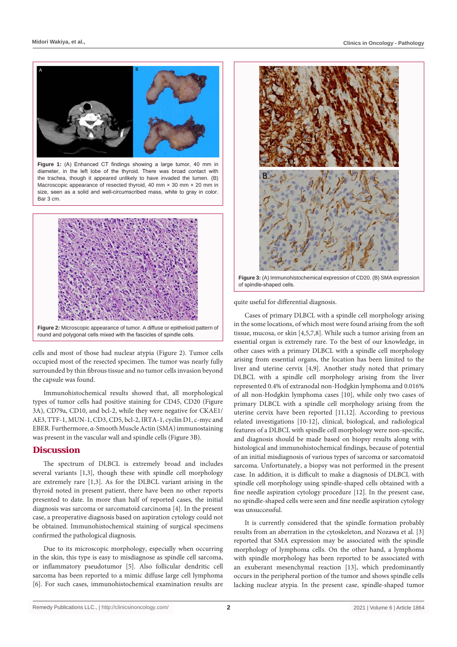

Figure 1: (A) Enhanced CT findings showing a large tumor, 40 mm in diameter, in the left lobe of the thyroid. There was broad contact with the trachea, though it appeared unlikely to have invaded the lumen. (B) Macroscopic appearance of resected thyroid, 40 mm  $\times$  30 mm  $\times$  20 mm in size, seen as a solid and well-circumscribed mass, white to gray in color. Bar 3 cm.



cells and most of those had nuclear atypia (Figure 2). Tumor cells occupied most of the resected specimen. The tumor was nearly fully surrounded by thin fibrous tissue and no tumor cells invasion beyond the capsule was found.

Immunohistochemical results showed that, all morphological types of tumor cells had positive staining for CD45, CD20 (Figure 3A), CD79a, CD10, and bcl-2, while they were negative for CKAE1/ AE3, TTF-1, MUN-1, CD3, CD5, bcl-2, IRTA-1, cyclin D1, c-myc and EBER. Furthermore, α-Smooth Muscle Actin (SMA) immunostaining was present in the vascular wall and spindle cells (Figure 3B).

#### **Discussion**

The spectrum of DLBCL is extremely broad and includes several variants [1,3], though these with spindle cell morphology are extremely rare [1,3]. As for the DLBCL variant arising in the thyroid noted in present patient, there have been no other reports presented to date. In more than half of reported cases, the initial diagnosis was sarcoma or sarcomatoid carcinoma [4]. In the present case, a preoperative diagnosis based on aspiration cytology could not be obtained. Immunohistochemical staining of surgical specimens confirmed the pathological diagnosis.

Due to its microscopic morphology, especially when occurring in the skin, this type is easy to misdiagnose as spindle cell sarcoma, or inflammatory pseudotumor [5]. Also follicular dendritic cell sarcoma has been reported to a mimic diffuse large cell lymphoma [6]. For such cases, immunohistochemical examination results are



**Figure 3:** (A) Immunohistochemical expression of CD20. (B) SMA expression of spindle-shaped cells.

quite useful for differential diagnosis.

Cases of primary DLBCL with a spindle cell morphology arising in the some locations, of which most were found arising from the soft tissue, mucosa, or skin [4,5,7,8]. While such a tumor arising from an essential organ is extremely rare. To the best of our knowledge, in other cases with a primary DLBCL with a spindle cell morphology arising from essential organs, the location has been limited to the liver and uterine cervix [4,9]. Another study noted that primary DLBCL with a spindle cell morphology arising from the liver represented 0.4% of extranodal non-Hodgkin lymphoma and 0.016% of all non-Hodgkin lymphoma cases [10], while only two cases of primary DLBCL with a spindle cell morphology arising from the uterine cervix have been reported [11,12]. According to previous related investigations [10-12], clinical, biological, and radiological features of a DLBCL with spindle cell morphology were non-specific, and diagnosis should be made based on biopsy results along with histological and immunohistochemical findings, because of potential of an initial misdiagnosis of various types of sarcoma or sarcomatoid sarcoma. Unfortunately, a biopsy was not performed in the present case. In addition, it is difficult to make a diagnosis of DLBCL with spindle cell morphology using spindle-shaped cells obtained with a fine needle aspiration cytology procedure [12]. In the present case, no spindle-shaped cells were seen and fine needle aspiration cytology was unsuccessful.

It is currently considered that the spindle formation probably results from an aberration in the cytoskeleton, and Nozawa et al. [3] reported that SMA expression may be associated with the spindle morphology of lymphoma cells. On the other hand, a lymphoma with spindle morphology has been reported to be associated with an exuberant mesenchymal reaction [13], which predominantly occurs in the peripheral portion of the tumor and shows spindle cells lacking nuclear atypia. In the present case, spindle-shaped tumor